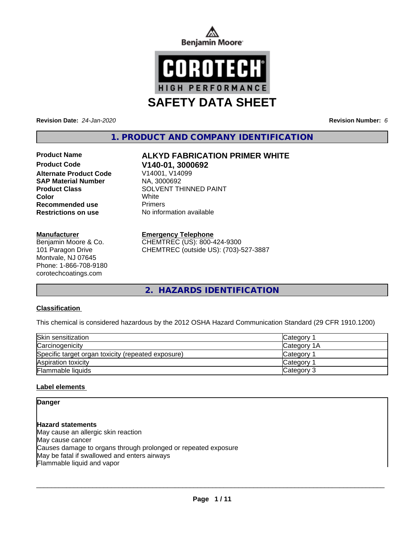



**Revision Date:** *24-Jan-2020* **Revision Number:** *6*

**1. PRODUCT AND COMPANY IDENTIFICATION**

**Product Code V140-01, 3000692 Alternate Product Code** V14001, V140<br> **SAP Material Number** NA, 3000692 **SAP Material Number Recommended use** Primers

#### **Manufacturer**

Benjamin Moore & Co. 101 Paragon Drive Montvale, NJ 07645 Phone: 1-866-708-9180 corotechcoatings.com

# **Product Name ALKYD FABRICATION PRIMER WHITE**

**Product Class** SOLVENT THINNED PAINT<br>
Color **Color** White **Restrictions on use** No information available

#### **Emergency Telephone**

CHEMTREC (US): 800-424-9300 CHEMTREC (outside US): (703)-527-3887

**2. HAZARDS IDENTIFICATION**

### **Classification**

This chemical is considered hazardous by the 2012 OSHA Hazard Communication Standard (29 CFR 1910.1200)

| Skin sensitization                                 | Category           |
|----------------------------------------------------|--------------------|
| Carcinogenicity                                    | <b>Category 1A</b> |
| Specific target organ toxicity (repeated exposure) | <b>Category</b>    |
| Aspiration toxicity                                | Category           |
| Flammable liquids                                  | Category 3         |

### **Label elements**

#### **Danger**

**Hazard statements** May cause an allergic skin reaction May cause cancer Causes damage to organs through prolonged or repeated exposure May be fatal if swallowed and enters airways Flammable liquid and vapor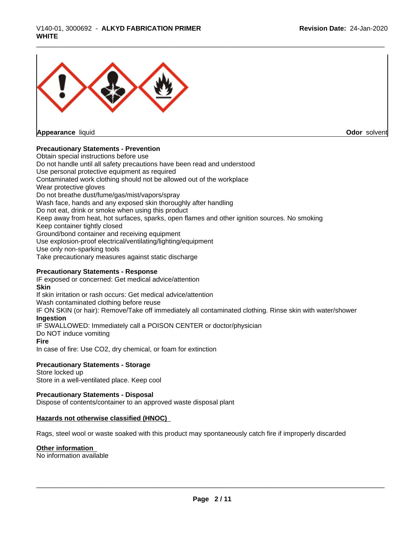

**Appearance** liquid

**Odor** solvent

#### **Precautionary Statements - Prevention**

Obtain special instructions before use Do not handle until all safety precautions have been read and understood Use personal protective equipment as required Contaminated work clothing should not be allowed out of the workplace Wear protective gloves Do not breathe dust/fume/gas/mist/vapors/spray Wash face, hands and any exposed skin thoroughly after handling Do not eat, drink or smoke when using this product Keep away from heat, hot surfaces, sparks, open flames and other ignition sources. No smoking Keep container tightly closed Ground/bond container and receiving equipment Use explosion-proof electrical/ventilating/lighting/equipment Use only non-sparking tools Take precautionary measures against static discharge

#### **Precautionary Statements - Response**

IF exposed or concerned: Get medical advice/attention **Skin** If skin irritation or rash occurs: Get medical advice/attention Wash contaminated clothing before reuse IF ON SKIN (or hair): Remove/Take off immediately all contaminated clothing. Rinse skin with water/shower **Ingestion** IF SWALLOWED: Immediately call a POISON CENTER or doctor/physician Do NOT induce vomiting **Fire** In case of fire: Use CO2, dry chemical, or foam for extinction

#### **Precautionary Statements - Storage**

Store locked up Store in a well-ventilated place. Keep cool

#### **Precautionary Statements - Disposal**

Dispose of contents/container to an approved waste disposal plant

#### **Hazards not otherwise classified (HNOC)**

Rags, steel wool or waste soaked with this product may spontaneously catch fire if improperly discarded

#### **Other information**

No information available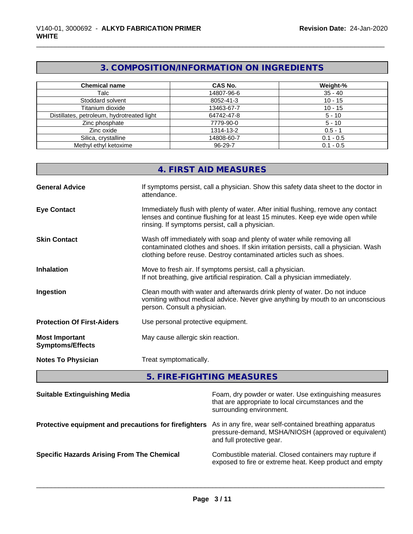# **3. COMPOSITION/INFORMATION ON INGREDIENTS**

| <b>Chemical name</b>                       | <b>CAS No.</b> | Weight-%    |
|--------------------------------------------|----------------|-------------|
| Talc                                       | 14807-96-6     | $35 - 40$   |
| Stoddard solvent                           | 8052-41-3      | $10 - 15$   |
| Titanium dioxide                           | 13463-67-7     | $10 - 15$   |
| Distillates, petroleum, hydrotreated light | 64742-47-8     | $5 - 10$    |
| Zinc phosphate                             | 7779-90-0      | $5 - 10$    |
| Zinc oxide                                 | 1314-13-2      | $0.5 - 1$   |
| Silica, crystalline                        | 14808-60-7     | $0.1 - 0.5$ |
| Methyl ethyl ketoxime                      | 96-29-7        | $0.1 - 0.5$ |

|                                                  | 4. FIRST AID MEASURES                                                                                                                                                                                                               |
|--------------------------------------------------|-------------------------------------------------------------------------------------------------------------------------------------------------------------------------------------------------------------------------------------|
| <b>General Advice</b>                            | If symptoms persist, call a physician. Show this safety data sheet to the doctor in<br>attendance.                                                                                                                                  |
| <b>Eye Contact</b>                               | Immediately flush with plenty of water. After initial flushing, remove any contact<br>lenses and continue flushing for at least 15 minutes. Keep eye wide open while<br>rinsing. If symptoms persist, call a physician.             |
| <b>Skin Contact</b>                              | Wash off immediately with soap and plenty of water while removing all<br>contaminated clothes and shoes. If skin irritation persists, call a physician. Wash<br>clothing before reuse. Destroy contaminated articles such as shoes. |
| <b>Inhalation</b>                                | Move to fresh air. If symptoms persist, call a physician.<br>If not breathing, give artificial respiration. Call a physician immediately.                                                                                           |
| Ingestion                                        | Clean mouth with water and afterwards drink plenty of water. Do not induce<br>vomiting without medical advice. Never give anything by mouth to an unconscious<br>person. Consult a physician.                                       |
| <b>Protection Of First-Aiders</b>                | Use personal protective equipment.                                                                                                                                                                                                  |
| <b>Most Important</b><br><b>Symptoms/Effects</b> | May cause allergic skin reaction.                                                                                                                                                                                                   |
| <b>Notes To Physician</b>                        | Treat symptomatically.                                                                                                                                                                                                              |

# **5. FIRE-FIGHTING MEASURES**

| <b>Suitable Extinguishing Media</b>                   | Foam, dry powder or water. Use extinguishing measures<br>that are appropriate to local circumstances and the<br>surrounding environment.     |
|-------------------------------------------------------|----------------------------------------------------------------------------------------------------------------------------------------------|
| Protective equipment and precautions for firefighters | As in any fire, wear self-contained breathing apparatus<br>pressure-demand, MSHA/NIOSH (approved or equivalent)<br>and full protective gear. |
| <b>Specific Hazards Arising From The Chemical</b>     | Combustible material. Closed containers may rupture if<br>exposed to fire or extreme heat. Keep product and empty                            |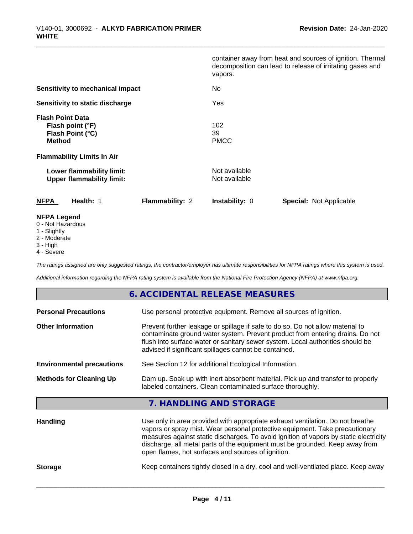|                                                                                  | vapors.                                         | container away from heat and sources of ignition. Thermal<br>decomposition can lead to release of irritating gases and |  |
|----------------------------------------------------------------------------------|-------------------------------------------------|------------------------------------------------------------------------------------------------------------------------|--|
| Sensitivity to mechanical impact                                                 | No                                              |                                                                                                                        |  |
| Sensitivity to static discharge                                                  | Yes                                             |                                                                                                                        |  |
| <b>Flash Point Data</b><br>Flash point (°F)<br>Flash Point (°C)<br><b>Method</b> | 102<br>39<br><b>PMCC</b>                        |                                                                                                                        |  |
| <b>Flammability Limits In Air</b>                                                |                                                 |                                                                                                                        |  |
| Lower flammability limit:<br><b>Upper flammability limit:</b>                    | Not available<br>Not available                  |                                                                                                                        |  |
| Health: 1<br><b>NFPA</b>                                                         | <b>Flammability: 2</b><br><b>Instability: 0</b> | <b>Special: Not Applicable</b>                                                                                         |  |
| <b>NFPA Legend</b><br>0 - Not Hazardous                                          |                                                 |                                                                                                                        |  |

- 1 Slightly
- 2 Moderate
- 3 High
- 4 Severe

*The ratings assigned are only suggested ratings, the contractor/employer has ultimate responsibilities for NFPA ratings where this system is used.*

*Additional information regarding the NFPA rating system is available from the National Fire Protection Agency (NFPA) at www.nfpa.org.*

### **6. ACCIDENTAL RELEASE MEASURES**

| <b>Personal Precautions</b>      | Use personal protective equipment. Remove all sources of ignition.                                                                                                                                                                                                                                                                                                                            |  |
|----------------------------------|-----------------------------------------------------------------------------------------------------------------------------------------------------------------------------------------------------------------------------------------------------------------------------------------------------------------------------------------------------------------------------------------------|--|
| <b>Other Information</b>         | Prevent further leakage or spillage if safe to do so. Do not allow material to<br>contaminate ground water system. Prevent product from entering drains. Do not<br>flush into surface water or sanitary sewer system. Local authorities should be<br>advised if significant spillages cannot be contained.                                                                                    |  |
| <b>Environmental precautions</b> | See Section 12 for additional Ecological Information.                                                                                                                                                                                                                                                                                                                                         |  |
| <b>Methods for Cleaning Up</b>   | Dam up. Soak up with inert absorbent material. Pick up and transfer to properly<br>labeled containers. Clean contaminated surface thoroughly.                                                                                                                                                                                                                                                 |  |
|                                  | 7. HANDLING AND STORAGE                                                                                                                                                                                                                                                                                                                                                                       |  |
| <b>Handling</b>                  | Use only in area provided with appropriate exhaust ventilation. Do not breathe<br>vapors or spray mist. Wear personal protective equipment. Take precautionary<br>measures against static discharges. To avoid ignition of vapors by static electricity<br>discharge, all metal parts of the equipment must be grounded. Keep away from<br>open flames, hot surfaces and sources of ignition. |  |

**Storage** Keep containers tightly closed in a dry, cool and well-ventilated place. Keep away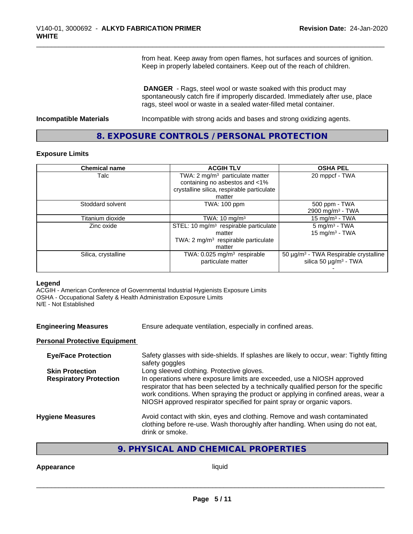from heat. Keep away from open flames, hot surfaces and sources of ignition. Keep in properly labeled containers. Keep out of the reach of children.

 **DANGER** - Rags, steel wool or waste soaked with this product may spontaneously catch fire if improperly discarded. Immediately after use, place rags, steel wool or waste in a sealed water-filled metal container.

**Incompatible Materials Incompatible with strong acids and bases and strong oxidizing agents.** 

## **8. EXPOSURE CONTROLS / PERSONAL PROTECTION**

#### **Exposure Limits**

| <b>Chemical name</b> | <b>ACGIH TLV</b>                                  | <b>OSHA PEL</b>                                        |
|----------------------|---------------------------------------------------|--------------------------------------------------------|
| Talc                 | TWA: $2 \text{ mg/m}^3$ particulate matter        | 20 mppcf - TWA                                         |
|                      | containing no asbestos and <1%                    |                                                        |
|                      | crystalline silica, respirable particulate        |                                                        |
|                      | matter                                            |                                                        |
| Stoddard solvent     | TWA: 100 ppm                                      | 500 ppm - TWA                                          |
|                      |                                                   | 2900 mg/m <sup>3</sup> - TWA                           |
| Titanium dioxide     | TWA: $10 \text{ mg/m}^3$                          | 15 mg/m <sup>3</sup> - TWA                             |
| Zinc oxide           | STEL: 10 mg/m <sup>3</sup> respirable particulate | $5 \text{ mg/m}^3$ - TWA                               |
|                      | matter                                            | 15 mg/m $3$ - TWA                                      |
|                      | TWA: $2 \text{ mg/m}^3$ respirable particulate    |                                                        |
|                      | matter                                            |                                                        |
| Silica, crystalline  | TWA: $0.025$ mg/m <sup>3</sup> respirable         | 50 $\mu$ g/m <sup>3</sup> - TWA Respirable crystalline |
|                      | particulate matter                                | silica 50 µg/m <sup>3</sup> - TWA                      |
|                      |                                                   |                                                        |

#### **Legend**

ACGIH - American Conference of Governmental Industrial Hygienists Exposure Limits OSHA - Occupational Safety & Health Administration Exposure Limits N/E - Not Established

| <b>Engineering Measures</b> | Ensure adequate ventilation, especially in confined areas. |  |
|-----------------------------|------------------------------------------------------------|--|
|-----------------------------|------------------------------------------------------------|--|

#### **Personal Protective Equipment**

| <b>Eye/Face Protection</b>    | Safety glasses with side-shields. If splashes are likely to occur, wear: Tightly fitting<br>safety goggles                                                                                                                                                                                                                   |
|-------------------------------|------------------------------------------------------------------------------------------------------------------------------------------------------------------------------------------------------------------------------------------------------------------------------------------------------------------------------|
| <b>Skin Protection</b>        | Long sleeved clothing. Protective gloves.                                                                                                                                                                                                                                                                                    |
| <b>Respiratory Protection</b> | In operations where exposure limits are exceeded, use a NIOSH approved<br>respirator that has been selected by a technically qualified person for the specific<br>work conditions. When spraying the product or applying in confined areas, wear a<br>NIOSH approved respirator specified for paint spray or organic vapors. |
| <b>Hygiene Measures</b>       | Avoid contact with skin, eyes and clothing. Remove and wash contaminated<br>clothing before re-use. Wash thoroughly after handling. When using do not eat,<br>drink or smoke.                                                                                                                                                |
|                               |                                                                                                                                                                                                                                                                                                                              |

## **9. PHYSICAL AND CHEMICAL PROPERTIES**

#### **Appearance** liquid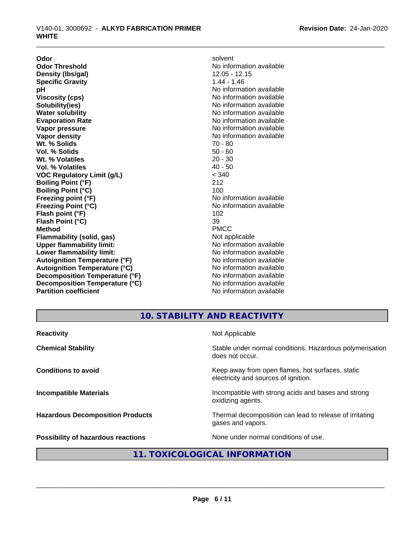**Odor** solvent **Odor Threshold**<br> **Density (Ibs/qal)**<br> **Density (Ibs/qal)**<br> **Density (Ibs/qal)**<br> **Density (Ibs/qal) Density (Ibs/gal)** 12.05 - 12.05 - 12.05 - 12.05 - 12.05 - 12.05 - 12.05 - 12.05 - 12.05 - 12.05 - 12.05 - 12.05 - 12.05 - 12.05 - 12.05 - 12.05 - 12.05 - 12.05 - 12.05 - 12.05 - 12.05 - 12.05 - 12.05 - 12.05 - 12.05 - 12 **Specific Gravity pH** No information available **Viscosity (cps)** No information available Notice 1, 1999 **Solubility(ies)** No information available **Evaporation Rate No information available No information available Vapor pressure** No information available in the North Mondon available in the North Mondon available in the North Mondon available in the North Mondon available in the North Mondon available in the North Mondon available **Vapor density No information available No information available Wt. % Solids** 70 - 80 **Vol. % Solids** 50 - 60<br> **Wt. % Volatiles** 20 - 30 **Wt. % Volatiles** 20 - 30<br> **Vol. % Volatiles** 20 - 30 **Vol. % Volatiles VOC Regulatory Limit (g/L)** < 340 **Boiling Point (°F)** 212 **Boiling Point (°C)** 100 **Freezing point (°F)**<br> **Freezing Point (°C)**<br> **Freezing Point (°C)**<br> **No information available Flash point (°F)** 102 **Flash Point (°C)** 39 **Method** PMCC **Flammability (solid, gas)**<br> **Constrained Upper flammability limit:**<br>
Upper flammability limit:<br>  $\blacksquare$ No information available **Upper flammability limit:**<br> **Lower flammability limit:** No information available<br>
No information available **Lower flammability limit: Autoignition Temperature (°F)** No information available **Autoignition Temperature (°C)** No information available **Decomposition Temperature (°F)** No information available **Decomposition Temperature (°C)** No information available **Partition coefficient Contract Contract Contract Contract Contract Contract Contract Contract Contract Contract Contract Contract Contract Contract Contract Contract Contract Contract Contract Contract Contract Contract** 

**No information available Freezing Point (°C)** No information available

# **10. STABILITY AND REACTIVITY**

| <b>Reactivity</b>                         | Not Applicable                                                                           |
|-------------------------------------------|------------------------------------------------------------------------------------------|
| <b>Chemical Stability</b>                 | Stable under normal conditions. Hazardous polymerisation<br>does not occur.              |
| <b>Conditions to avoid</b>                | Keep away from open flames, hot surfaces, static<br>electricity and sources of ignition. |
| <b>Incompatible Materials</b>             | Incompatible with strong acids and bases and strong<br>oxidizing agents.                 |
| <b>Hazardous Decomposition Products</b>   | Thermal decomposition can lead to release of irritating<br>gases and vapors.             |
| <b>Possibility of hazardous reactions</b> | None under normal conditions of use.                                                     |

# **11. TOXICOLOGICAL INFORMATION**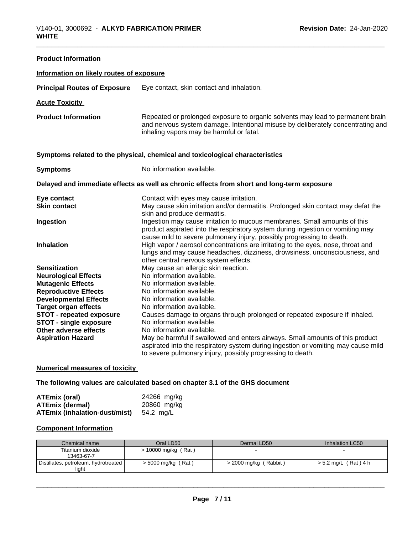| <b>Product Information</b>                             |                                                                                                                                                                                                               |
|--------------------------------------------------------|---------------------------------------------------------------------------------------------------------------------------------------------------------------------------------------------------------------|
| Information on likely routes of exposure               |                                                                                                                                                                                                               |
| <b>Principal Routes of Exposure</b>                    | Eye contact, skin contact and inhalation.                                                                                                                                                                     |
| <b>Acute Toxicity</b>                                  |                                                                                                                                                                                                               |
| <b>Product Information</b>                             | Repeated or prolonged exposure to organic solvents may lead to permanent brain<br>and nervous system damage. Intentional misuse by deliberately concentrating and<br>inhaling vapors may be harmful or fatal. |
|                                                        | Symptoms related to the physical, chemical and toxicological characteristics                                                                                                                                  |
| <b>Symptoms</b>                                        | No information available.                                                                                                                                                                                     |
|                                                        | Delayed and immediate effects as well as chronic effects from short and long-term exposure                                                                                                                    |
| Eye contact                                            | Contact with eyes may cause irritation.                                                                                                                                                                       |
| <b>Skin contact</b>                                    | May cause skin irritation and/or dermatitis. Prolonged skin contact may defat the                                                                                                                             |
|                                                        | skin and produce dermatitis.                                                                                                                                                                                  |
| Ingestion                                              | Ingestion may cause irritation to mucous membranes. Small amounts of this<br>product aspirated into the respiratory system during ingestion or vomiting may                                                   |
|                                                        | cause mild to severe pulmonary injury, possibly progressing to death.                                                                                                                                         |
| <b>Inhalation</b>                                      | High vapor / aerosol concentrations are irritating to the eyes, nose, throat and                                                                                                                              |
|                                                        | lungs and may cause headaches, dizziness, drowsiness, unconsciousness, and                                                                                                                                    |
|                                                        | other central nervous system effects.                                                                                                                                                                         |
| <b>Sensitization</b>                                   | May cause an allergic skin reaction.                                                                                                                                                                          |
| <b>Neurological Effects</b>                            | No information available.                                                                                                                                                                                     |
| <b>Mutagenic Effects</b>                               | No information available.                                                                                                                                                                                     |
| <b>Reproductive Effects</b>                            | No information available.                                                                                                                                                                                     |
| <b>Developmental Effects</b>                           | No information available.                                                                                                                                                                                     |
| <b>Target organ effects</b>                            | No information available.                                                                                                                                                                                     |
| STOT - repeated exposure                               | Causes damage to organs through prolonged or repeated exposure if inhaled.<br>No information available.                                                                                                       |
| <b>STOT - single exposure</b><br>Other adverse effects | No information available.                                                                                                                                                                                     |
| <b>Aspiration Hazard</b>                               | May be harmful if swallowed and enters airways. Small amounts of this product                                                                                                                                 |
|                                                        | aspirated into the respiratory system during ingestion or vomiting may cause mild                                                                                                                             |
|                                                        | to severe pulmonary injury, possibly progressing to death.                                                                                                                                                    |
|                                                        |                                                                                                                                                                                                               |

## **Numerical measures of toxicity**

## **The following values are calculated based on chapter 3.1 of the GHS document**

| ATEmix (oral)                 | 24266 mg/kg |
|-------------------------------|-------------|
| ATEmix (dermal)               | 20860 mg/kg |
| ATEmix (inhalation-dust/mist) | 54.2 mg/L   |

## **Component Information**

| Chemical name                                   | Oral LD50           | Dermal LD50           | Inhalation LC50      |
|-------------------------------------------------|---------------------|-----------------------|----------------------|
| Titanium dioxide                                | > 10000 mg/kg (Rat) |                       |                      |
| 13463-67-7                                      |                     |                       |                      |
| Distillates, petroleum, hydrotreated  <br>light | > 5000 mg/kg (Rat)  | > 2000 mg/kg (Rabbit) | > 5.2 mg/L (Rat) 4 h |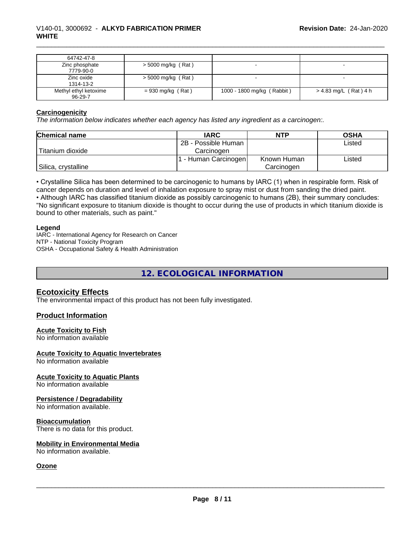| 64742-47-8            |                     |                            |                         |
|-----------------------|---------------------|----------------------------|-------------------------|
| Zinc phosphate        | > 5000 mg/kg (Rat)  |                            |                         |
| 7779-90-0             |                     |                            |                         |
| Zinc oxide            | > 5000 mg/kg (Rat)  |                            |                         |
| 1314-13-2             |                     |                            |                         |
| Methyl ethyl ketoxime | $= 930$ mg/kg (Rat) | 1000 - 1800 mg/kg (Rabbit) | $> 4.83$ mg/L (Rat) 4 h |
| $96 - 29 - 7$         |                     |                            |                         |

#### **Carcinogenicity**

*The information below indicateswhether each agency has listed any ingredient as a carcinogen:.*

| <b>Chemical name</b> | <b>IARC</b>          | <b>NTP</b>  | <b>OSHA</b> |
|----------------------|----------------------|-------------|-------------|
|                      | 2B - Possible Human  |             | Listed      |
| Titanium dioxide     | Carcinogen           |             |             |
|                      | . - Human Carcinogen | Known Human | Listed      |
| Silica, crystalline  |                      | Carcinogen  |             |

• Crystalline Silica has been determined to be carcinogenic to humans by IARC (1) when in respirable form. Risk of cancer depends on duration and level of inhalation exposure to spray mist or dust from sanding the dried paint.• Although IARC has classified titanium dioxide as possibly carcinogenic to humans (2B), their summary concludes: "No significant exposure to titanium dioxide is thought to occur during the use of products in which titanium dioxide is bound to other materials, such as paint."

#### **Legend**

IARC - International Agency for Research on Cancer NTP - National Toxicity Program OSHA - Occupational Safety & Health Administration

**12. ECOLOGICAL INFORMATION**

### **Ecotoxicity Effects**

The environmental impact of this product has not been fully investigated.

### **Product Information**

#### **Acute Toxicity to Fish**

No information available

#### **Acute Toxicity to Aquatic Invertebrates**

No information available

#### **Acute Toxicity to Aquatic Plants** No information available

**Persistence / Degradability**

# No information available.

#### **Bioaccumulation**

There is no data for this product.

#### **Mobility in Environmental Media**

No information available.

### **Ozone**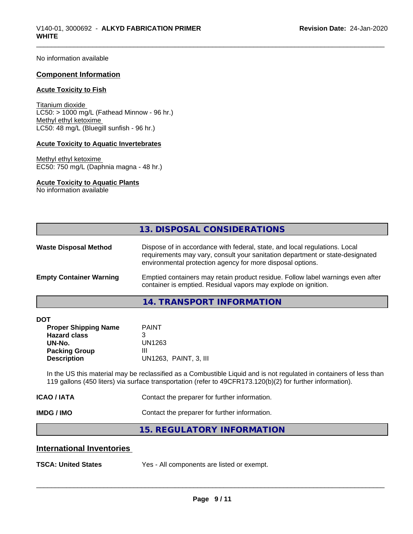No information available

#### **Component Information**

#### **Acute Toxicity to Fish**

Titanium dioxide  $LC50:$  > 1000 mg/L (Fathead Minnow - 96 hr.) Methyl ethyl ketoxime LC50: 48 mg/L (Bluegill sunfish - 96 hr.)

#### **Acute Toxicity to Aquatic Invertebrates**

Methyl ethyl ketoxime EC50: 750 mg/L (Daphnia magna - 48 hr.)

#### **Acute Toxicity to Aquatic Plants**

No information available

|                                | 13. DISPOSAL CONSIDERATIONS                                                                                                                                                                                               |
|--------------------------------|---------------------------------------------------------------------------------------------------------------------------------------------------------------------------------------------------------------------------|
| <b>Waste Disposal Method</b>   | Dispose of in accordance with federal, state, and local regulations. Local<br>requirements may vary, consult your sanitation department or state-designated<br>environmental protection agency for more disposal options. |
| <b>Empty Container Warning</b> | Emptied containers may retain product residue. Follow label warnings even after<br>container is emptied. Residual vapors may explode on ignition.                                                                         |
|                                | 14 TRANCRODT INFORMATION                                                                                                                                                                                                  |

#### **14. TRANSPORT INFORMATION**

| -<br><br>×<br>۰.<br>۰,<br>۰. |
|------------------------------|
|------------------------------|

| DOT                         |                       |
|-----------------------------|-----------------------|
| <b>Proper Shipping Name</b> | <b>PAINT</b>          |
| <b>Hazard class</b>         | 3                     |
| UN-No.                      | UN1263                |
| <b>Packing Group</b>        | Ш                     |
| <b>Description</b>          | UN1263, PAINT, 3, III |
|                             |                       |

In the US this material may be reclassified as a Combustible Liquid and is not regulated in containers of less than 119 gallons (450 liters) via surface transportation (refer to 49CFR173.120(b)(2) for further information).

| ICAO / IATA | Contact the preparer for further information. |
|-------------|-----------------------------------------------|
|             |                                               |

**IMDG / IMO** Contact the preparer for further information.

**15. REGULATORY INFORMATION**

## **International Inventories**

**TSCA: United States** Yes - All components are listed or exempt.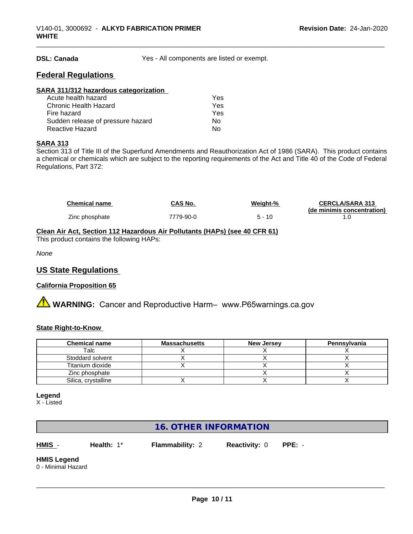**DSL: Canada** Yes - All components are listed or exempt.

## **Federal Regulations**

| SARA 311/312 hazardous categorization |     |  |
|---------------------------------------|-----|--|
| Acute health hazard                   | Yes |  |
| Chronic Health Hazard                 | Yes |  |
| Fire hazard                           | Yes |  |
| Sudden release of pressure hazard     | Nο  |  |
| <b>Reactive Hazard</b>                | No  |  |

#### **SARA 313**

Section 313 of Title III of the Superfund Amendments and Reauthorization Act of 1986 (SARA). This product contains a chemical or chemicals which are subject to the reporting requirements of the Act and Title 40 of the Code of Federal Regulations, Part 372:

| Chemical name  | CAS No.   | Weight-% | <b>CERCLA/SARA 313</b>     |
|----------------|-----------|----------|----------------------------|
|                |           |          | (de minimis concentration) |
| Zinc phosphate | 7779-90-0 | 5 - 10   |                            |

# **Clean Air Act,Section 112 Hazardous Air Pollutants (HAPs) (see 40 CFR 61)**

This product contains the following HAPs:

*None*

## **US State Regulations**

### **California Proposition 65**

**A WARNING:** Cancer and Reproductive Harm– www.P65warnings.ca.gov

#### **State Right-to-Know**

| <b>Chemical name</b> | <b>Massachusetts</b> | <b>New Jersey</b> | Pennsylvania |
|----------------------|----------------------|-------------------|--------------|
| Talc                 |                      |                   |              |
| Stoddard solvent     |                      |                   |              |
| Titanium dioxide     |                      |                   |              |
| Zinc phosphate       |                      |                   |              |
| Silica, crystalline  |                      |                   |              |

#### **Legend**

X - Listed

# **16. OTHER INFORMATION**

**HMIS** - **Health:** 1\* **Flammability:** 2 **Reactivity:** 0 **PPE:** -

# **HMIS Legend**

0 - Minimal Hazard